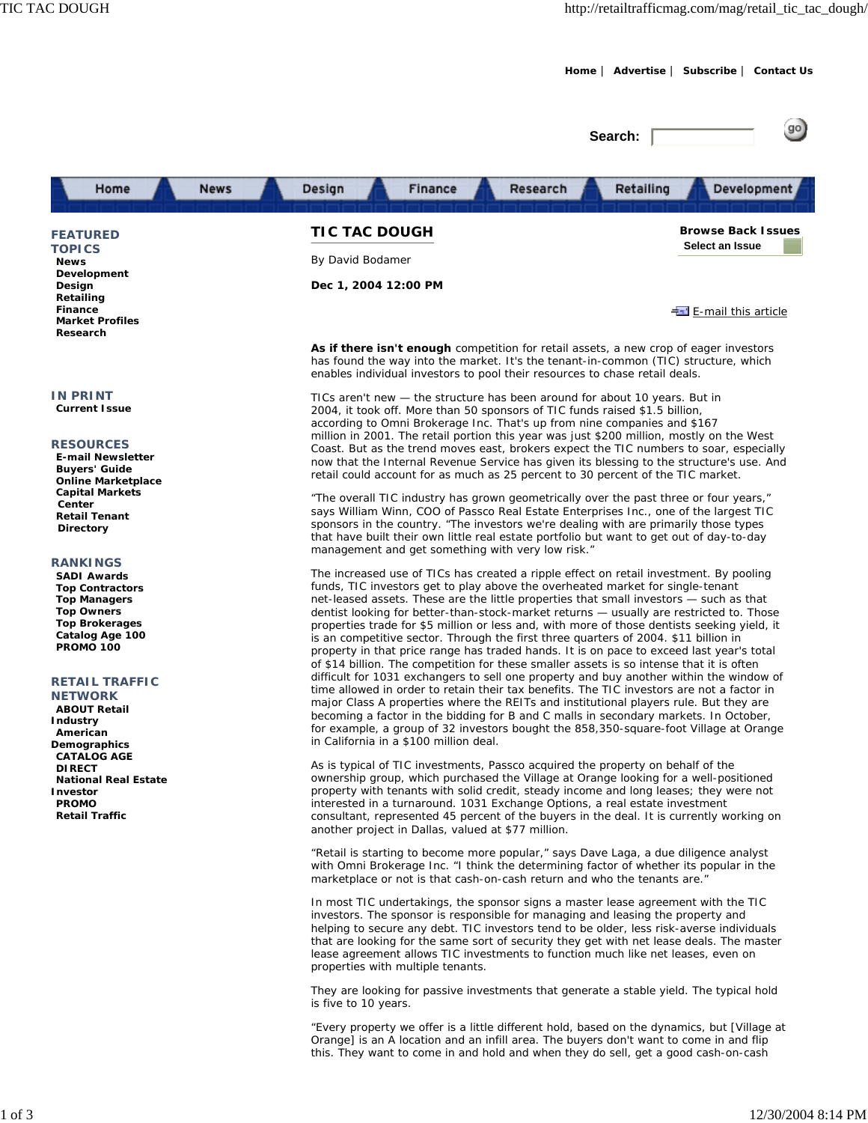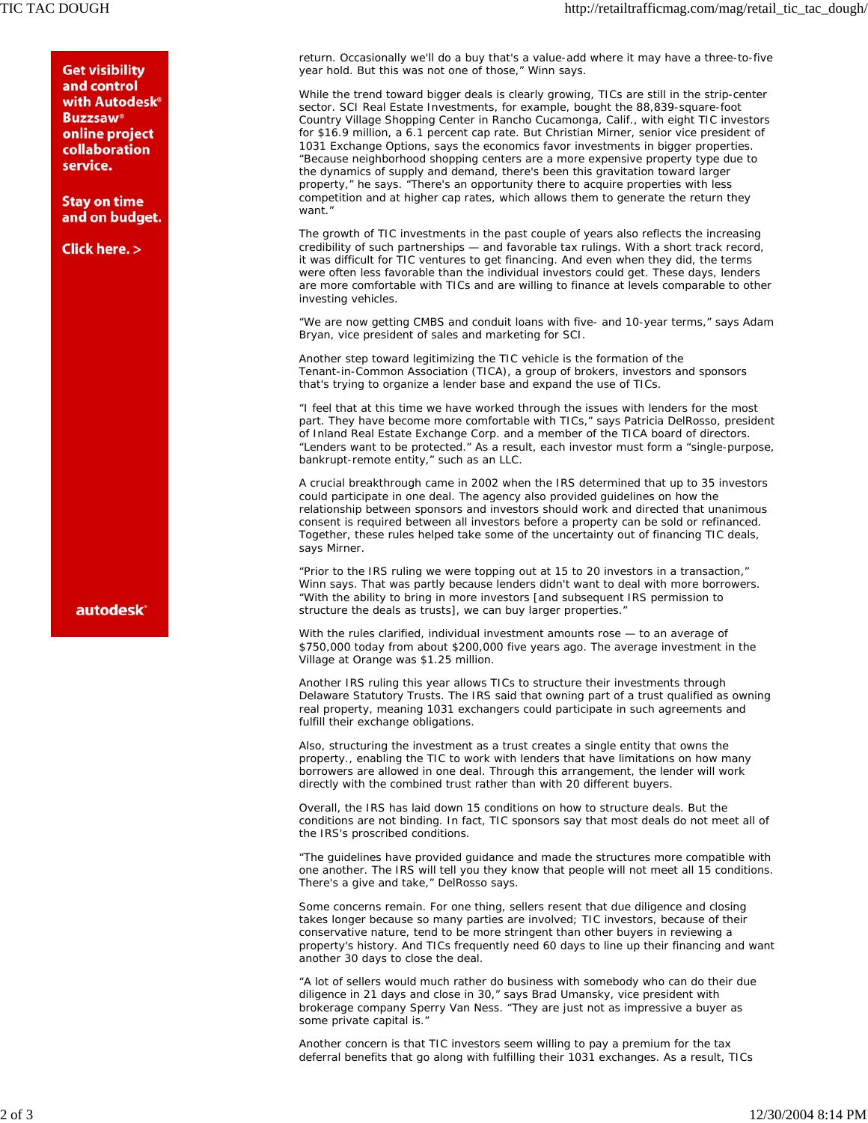**Get visibility** and control with Autodesk<sup>®</sup> **Buzzsaw®** online project collaboration service.

**Stay on time** and on budget.

**Click here. >** 

**autodesk** 

return. Occasionally we'll do a buy that's a value-add where it may have a three-to-five year hold. But this was not one of those," Winn says.

While the trend toward bigger deals is clearly growing, TICs are still in the strip-center sector. SCI Real Estate Investments, for example, bought the 88,839-square-foot Country Village Shopping Center in Rancho Cucamonga, Calif., with eight TIC investors for \$16.9 million, a 6.1 percent cap rate. But Christian Mirner, senior vice president of 1031 Exchange Options, says the economics favor investments in bigger properties. "Because neighborhood shopping centers are a more expensive property type due to the dynamics of supply and demand, there's been this gravitation toward larger property," he says. "There's an opportunity there to acquire properties with less competition and at higher cap rates, which allows them to generate the return they want.'

The growth of TIC investments in the past couple of years also reflects the increasing credibility of such partnerships — and favorable tax rulings. With a short track record, it was difficult for TIC ventures to get financing. And even when they did, the terms were often less favorable than the individual investors could get. These days, lenders are more comfortable with TICs and are willing to finance at levels comparable to other investing vehicles.

"We are now getting CMBS and conduit loans with five- and 10-year terms," says Adam Bryan, vice president of sales and marketing for SCI.

Another step toward legitimizing the TIC vehicle is the formation of the Tenant-in-Common Association (TICA), a group of brokers, investors and sponsors that's trying to organize a lender base and expand the use of TICs.

"I feel that at this time we have worked through the issues with lenders for the most part. They have become more comfortable with TICs," says Patricia DelRosso, president of Inland Real Estate Exchange Corp. and a member of the TICA board of directors. "Lenders want to be protected." As a result, each investor must form a "single-purpose, bankrupt-remote entity," such as an LLC.

A crucial breakthrough came in 2002 when the IRS determined that up to 35 investors could participate in one deal. The agency also provided guidelines on how the relationship between sponsors and investors should work and directed that unanimous consent is required between all investors before a property can be sold or refinanced. Together, these rules helped take some of the uncertainty out of financing TIC deals, says Mirner.

"Prior to the IRS ruling we were topping out at 15 to 20 investors in a transaction," Winn says. That was partly because lenders didn't want to deal with more borrowers. "With the ability to bring in more investors [and subsequent IRS permission to structure the deals as trusts], we can buy larger properties."

With the rules clarified, individual investment amounts rose — to an average of \$750,000 today from about \$200,000 five years ago. The average investment in the Village at Orange was \$1.25 million.

Another IRS ruling this year allows TICs to structure their investments through Delaware Statutory Trusts. The IRS said that owning part of a trust qualified as owning real property, meaning 1031 exchangers could participate in such agreements and fulfill their exchange obligations.

Also, structuring the investment as a trust creates a single entity that owns the property., enabling the TIC to work with lenders that have limitations on how many borrowers are allowed in one deal. Through this arrangement, the lender will work directly with the combined trust rather than with 20 different buyers.

Overall, the IRS has laid down 15 conditions on how to structure deals. But the conditions are not binding. In fact, TIC sponsors say that most deals do not meet all of the IRS's proscribed conditions.

"The guidelines have provided guidance and made the structures more compatible with one another. The IRS will tell you they know that people will not meet all 15 conditions. There's a give and take," DelRosso says.

Some concerns remain. For one thing, sellers resent that due diligence and closing takes longer because so many parties are involved; TIC investors, because of their conservative nature, tend to be more stringent than other buyers in reviewing a property's history. And TICs frequently need 60 days to line up their financing and want another 30 days to close the deal.

"A lot of sellers would much rather do business with somebody who can do their due diligence in 21 days and close in 30," says Brad Umansky, vice president with brokerage company Sperry Van Ness. "They are just not as impressive a buyer as some private capital is."

Another concern is that TIC investors seem willing to pay a premium for the tax deferral benefits that go along with fulfilling their 1031 exchanges. As a result, TICs